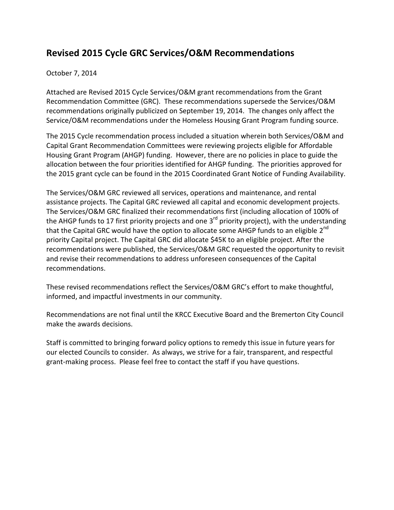## **Revised 2015 Cycle GRC Services/O&M Recommendations**

## October 7, 2014

Attached are Revised 2015 Cycle Services/O&M grant recommendations from the Grant Recommendation Committee (GRC). These recommendations supersede the Services/O&M recommendations originally publicized on September 19, 2014. The changes only affect the Service/O&M recommendations under the Homeless Housing Grant Program funding source.

The 2015 Cycle recommendation process included a situation wherein both Services/O&M and Capital Grant Recommendation Committees were reviewing projects eligible for Affordable Housing Grant Program (AHGP) funding. However, there are no policies in place to guide the allocation between the four priorities identified for AHGP funding. The priorities approved for the 2015 grant cycle can be found in the 2015 Coordinated Grant Notice of Funding Availability.

The Services/O&M GRC reviewed all services, operations and maintenance, and rental assistance projects. The Capital GRC reviewed all capital and economic development projects. The Services/O&M GRC finalized their recommendations first (including allocation of 100% of the AHGP funds to 17 first priority projects and one 3<sup>rd</sup> priority project), with the understanding that the Capital GRC would have the option to allocate some AHGP funds to an eligible 2<sup>nd</sup> priority Capital project. The Capital GRC did allocate \$45K to an eligible project. After the recommendations were published, the Services/O&M GRC requested the opportunity to revisit and revise their recommendations to address unforeseen consequences of the Capital recommendations.

These revised recommendations reflect the Services/O&M GRC's effort to make thoughtful, informed, and impactful investments in our community.

Recommendations are not final until the KRCC Executive Board and the Bremerton City Council make the awards decisions.

Staff is committed to bringing forward policy options to remedy this issue in future years for our elected Councils to consider. As always, we strive for a fair, transparent, and respectful grant-making process. Please feel free to contact the staff if you have questions.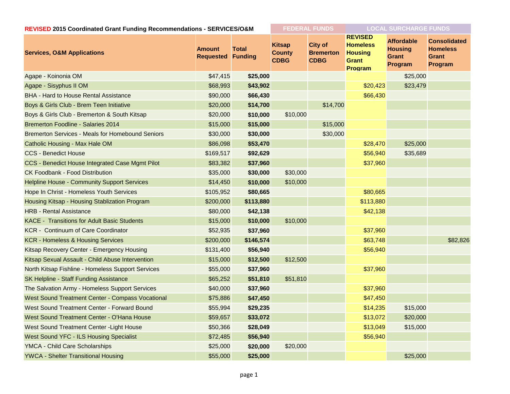| REVISED 2015 Coordinated Grant Funding Recommendations - SERVICES/O&M |                                           | <b>FEDERAL FUNDS</b> |                                               | <b>LOCAL SURCHARGE FUNDS</b>                      |                                                                                |                                                                |                                                                   |
|-----------------------------------------------------------------------|-------------------------------------------|----------------------|-----------------------------------------------|---------------------------------------------------|--------------------------------------------------------------------------------|----------------------------------------------------------------|-------------------------------------------------------------------|
| <b>Services, O&amp;M Applications</b>                                 | <b>Amount</b><br><b>Requested Funding</b> | <b>Total</b>         | <b>Kitsap</b><br><b>County</b><br><b>CDBG</b> | <b>City of</b><br><b>Bremerton</b><br><b>CDBG</b> | <b>REVISED</b><br><b>Homeless</b><br><b>Housing</b><br><b>Grant</b><br>Program | <b>Affordable</b><br><b>Housing</b><br><b>Grant</b><br>Program | <b>Consolidated</b><br><b>Homeless</b><br><b>Grant</b><br>Program |
| Agape - Koinonia OM                                                   | \$47,415                                  | \$25,000             |                                               |                                                   |                                                                                | \$25,000                                                       |                                                                   |
| Agape - Sisyphus II OM                                                | \$68,993                                  | \$43,902             |                                               |                                                   | \$20,423                                                                       | \$23,479                                                       |                                                                   |
| <b>BHA - Hard to House Rental Assistance</b>                          | \$90,000                                  | \$66,430             |                                               |                                                   | \$66,430                                                                       |                                                                |                                                                   |
| Boys & Girls Club - Brem Teen Initiative                              | \$20,000                                  | \$14,700             |                                               | \$14,700                                          |                                                                                |                                                                |                                                                   |
| Boys & Girls Club - Bremerton & South Kitsap                          | \$20,000                                  | \$10,000             | \$10,000                                      |                                                   |                                                                                |                                                                |                                                                   |
| <b>Bremerton Foodline - Salaries 2014</b>                             | \$15,000                                  | \$15,000             |                                               | \$15,000                                          |                                                                                |                                                                |                                                                   |
| <b>Bremerton Services - Meals for Homebound Seniors</b>               | \$30,000                                  | \$30,000             |                                               | \$30,000                                          |                                                                                |                                                                |                                                                   |
| Catholic Housing - Max Hale OM                                        | \$86,098                                  | \$53,470             |                                               |                                                   | \$28,470                                                                       | \$25,000                                                       |                                                                   |
| <b>CCS - Benedict House</b>                                           | \$169,517                                 | \$92,629             |                                               |                                                   | \$56,940                                                                       | \$35,689                                                       |                                                                   |
| CCS - Benedict House Integrated Case Mgmt Pilot                       | \$83,382                                  | \$37,960             |                                               |                                                   | \$37,960                                                                       |                                                                |                                                                   |
| <b>CK Foodbank - Food Distribution</b>                                | \$35,000                                  | \$30,000             | \$30,000                                      |                                                   |                                                                                |                                                                |                                                                   |
| <b>Helpline House - Community Support Services</b>                    | \$14,450                                  | \$10,000             | \$10,000                                      |                                                   |                                                                                |                                                                |                                                                   |
| Hope In Christ - Homeless Youth Services                              | \$105,952                                 | \$80,665             |                                               |                                                   | \$80,665                                                                       |                                                                |                                                                   |
| Housing Kitsap - Housing Stablization Program                         | \$200,000                                 | \$113,880            |                                               |                                                   | \$113,880                                                                      |                                                                |                                                                   |
| <b>HRB - Rental Assistance</b>                                        | \$80,000                                  | \$42,138             |                                               |                                                   | \$42,138                                                                       |                                                                |                                                                   |
| <b>KACE - Transitions for Adult Basic Students</b>                    | \$15,000                                  | \$10,000             | \$10,000                                      |                                                   |                                                                                |                                                                |                                                                   |
| <b>KCR</b> - Continuum of Care Coordinator                            | \$52,935                                  | \$37,960             |                                               |                                                   | \$37,960                                                                       |                                                                |                                                                   |
| <b>KCR - Homeless &amp; Housing Services</b>                          | \$200,000                                 | \$146,574            |                                               |                                                   | \$63,748                                                                       |                                                                | \$82,826                                                          |
| Kitsap Recovery Center - Emergency Housing                            | \$131,400                                 | \$56,940             |                                               |                                                   | \$56,940                                                                       |                                                                |                                                                   |
| Kitsap Sexual Assault - Child Abuse Intervention                      | \$15,000                                  | \$12,500             | \$12,500                                      |                                                   |                                                                                |                                                                |                                                                   |
| North Kitsap Fishline - Homeless Support Services                     | \$55,000                                  | \$37,960             |                                               |                                                   | \$37,960                                                                       |                                                                |                                                                   |
| SK Helpline - Staff Funding Assistance                                | \$65,252                                  | \$51,810             | \$51,810                                      |                                                   |                                                                                |                                                                |                                                                   |
| The Salvation Army - Homeless Support Services                        | \$40,000                                  | \$37,960             |                                               |                                                   | \$37,960                                                                       |                                                                |                                                                   |
| West Sound Treatment Center - Compass Vocational                      | \$75,886                                  | \$47,450             |                                               |                                                   | \$47,450                                                                       |                                                                |                                                                   |
| West Sound Treatment Center - Forward Bound                           | \$55,994                                  | \$29,235             |                                               |                                                   | \$14,235                                                                       | \$15,000                                                       |                                                                   |
| West Sound Treatment Center - O'Hana House                            | \$59,657                                  | \$33,072             |                                               |                                                   | \$13,072                                                                       | \$20,000                                                       |                                                                   |
| West Sound Treatment Center - Light House                             | \$50,366                                  | \$28,049             |                                               |                                                   | \$13,049                                                                       | \$15,000                                                       |                                                                   |
| West Sound YFC - ILS Housing Specialist                               | \$72,485                                  | \$56,940             |                                               |                                                   | \$56,940                                                                       |                                                                |                                                                   |
| YMCA - Child Care Scholarships                                        | \$25,000                                  | \$20,000             | \$20,000                                      |                                                   |                                                                                |                                                                |                                                                   |
| <b>YWCA - Shelter Transitional Housing</b>                            | \$55,000                                  | \$25,000             |                                               |                                                   |                                                                                | \$25,000                                                       |                                                                   |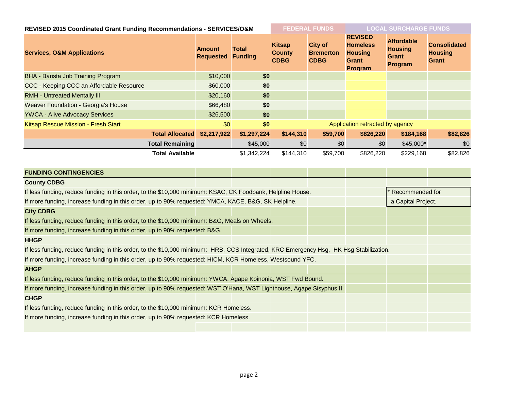| REVISED 2015 Coordinated Grant Funding Recommendations - SERVICES/O&M                                                                 |                                   |                                |                                               | <b>FEDERAL FUNDS</b>                              |                                                                                       | <b>LOCAL SURCHARGE FUNDS</b>                                   |                                                       |
|---------------------------------------------------------------------------------------------------------------------------------------|-----------------------------------|--------------------------------|-----------------------------------------------|---------------------------------------------------|---------------------------------------------------------------------------------------|----------------------------------------------------------------|-------------------------------------------------------|
| <b>Services, O&amp;M Applications</b>                                                                                                 | <b>Amount</b><br><b>Requested</b> | <b>Total</b><br><b>Funding</b> | <b>Kitsap</b><br><b>County</b><br><b>CDBG</b> | <b>City of</b><br><b>Bremerton</b><br><b>CDBG</b> | <b>REVISED</b><br><b>Homeless</b><br><b>Housing</b><br><b>Grant</b><br><b>Program</b> | <b>Affordable</b><br><b>Housing</b><br><b>Grant</b><br>Program | <b>Consolidated</b><br><b>Housing</b><br><b>Grant</b> |
| BHA - Barista Job Training Program                                                                                                    | \$10,000                          | \$0                            |                                               |                                                   |                                                                                       |                                                                |                                                       |
| CCC - Keeping CCC an Affordable Resource                                                                                              | \$60,000                          | \$0                            |                                               |                                                   |                                                                                       |                                                                |                                                       |
| <b>RMH - Untreated Mentally III</b>                                                                                                   | \$20,160                          | \$0                            |                                               |                                                   |                                                                                       |                                                                |                                                       |
| Weaver Foundation - Georgia's House                                                                                                   | \$66,480                          | \$0                            |                                               |                                                   |                                                                                       |                                                                |                                                       |
| <b>YWCA - Alive Advocacy Services</b>                                                                                                 | \$26,500                          | \$0                            |                                               |                                                   |                                                                                       |                                                                |                                                       |
| Kitsap Rescue Mission - Fresh Start                                                                                                   | \$0                               | \$0                            | Application retracted by agency               |                                                   |                                                                                       |                                                                |                                                       |
| <b>Total Allocated</b>                                                                                                                | \$2,217,922                       | \$1,297,224                    | \$144,310                                     | \$59,700                                          | \$826,220                                                                             | \$184,168                                                      | \$82,826                                              |
| <b>Total Remaining</b>                                                                                                                |                                   | \$45,000                       | \$0                                           | \$0                                               | \$0                                                                                   | $$45,000*$                                                     | \$0                                                   |
| <b>Total Available</b>                                                                                                                |                                   | \$1,342,224                    | \$144,310                                     | \$59,700                                          | \$826,220                                                                             | \$229,168                                                      | \$82,826                                              |
| <b>FUNDING CONTINGENCIES</b>                                                                                                          |                                   |                                |                                               |                                                   |                                                                                       |                                                                |                                                       |
| <b>County CDBG</b>                                                                                                                    |                                   |                                |                                               |                                                   |                                                                                       |                                                                |                                                       |
| If less funding, reduce funding in this order, to the \$10,000 minimum: KSAC, CK Foodbank, Helpline House.                            |                                   |                                |                                               | Recommended for                                   |                                                                                       |                                                                |                                                       |
| If more funding, increase funding in this order, up to 90% requested: YMCA, KACE, B&G, SK Helpline.                                   |                                   |                                |                                               | a Capital Project.                                |                                                                                       |                                                                |                                                       |
| <b>City CDBG</b>                                                                                                                      |                                   |                                |                                               |                                                   |                                                                                       |                                                                |                                                       |
| If less funding, reduce funding in this order, to the \$10,000 minimum: B&G, Meals on Wheels.                                         |                                   |                                |                                               |                                                   |                                                                                       |                                                                |                                                       |
| If more funding, increase funding in this order, up to 90% requested: B&G.                                                            |                                   |                                |                                               |                                                   |                                                                                       |                                                                |                                                       |
| <b>HHGP</b>                                                                                                                           |                                   |                                |                                               |                                                   |                                                                                       |                                                                |                                                       |
| If less funding, reduce funding in this order, to the \$10,000 minimum: HRB, CCS Integrated, KRC Emergency Hsg, HK Hsg Stabilization. |                                   |                                |                                               |                                                   |                                                                                       |                                                                |                                                       |
| If more funding, increase funding in this order, up to 90% requested: HICM, KCR Homeless, Westsound YFC.                              |                                   |                                |                                               |                                                   |                                                                                       |                                                                |                                                       |

If less funding, reduce funding in this order, to the \$10,000 minimum: YWCA, Agape Koinonia, WST Fwd Bound.

If more funding, increase funding in this order, up to 90% requested: WST O'Hana, WST Lighthouse, Agape Sisyphus II.

## **CHGP**

**AHGP**

If less funding, reduce funding in this order, to the \$10,000 minimum: KCR Homeless.

If more funding, increase funding in this order, up to 90% requested: KCR Homeless.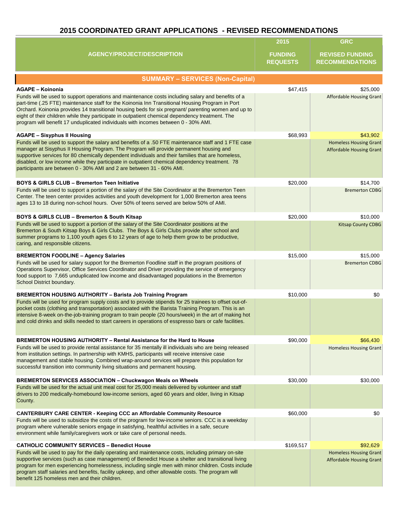## **2015 COORDINATED GRANT APPLICATIONS - REVISED RECOMMENDATIONS**

|                                                                                                                                                                                                                                                                                                                                                                                                                                                                                                      | 2015                              | <b>GRC</b>                                                       |
|------------------------------------------------------------------------------------------------------------------------------------------------------------------------------------------------------------------------------------------------------------------------------------------------------------------------------------------------------------------------------------------------------------------------------------------------------------------------------------------------------|-----------------------------------|------------------------------------------------------------------|
| <b>AGENCY/PROJECT/DESCRIPTION</b>                                                                                                                                                                                                                                                                                                                                                                                                                                                                    | <b>FUNDING</b><br><b>REQUESTS</b> | <b>REVISED FUNDING</b><br><b>RECOMMENDATIONS</b>                 |
| <b>SUMMARY - SERVICES (Non-Capital)</b>                                                                                                                                                                                                                                                                                                                                                                                                                                                              |                                   |                                                                  |
| <b>AGAPE - Koinonia</b>                                                                                                                                                                                                                                                                                                                                                                                                                                                                              | \$47,415                          | \$25,000                                                         |
| Funds will be used to support operations and maintenance costs including salary and benefits of a<br>part-time (.25 FTE) maintenance staff for the Koinonia Inn Transitional Housing Program in Port<br>Orchard. Koinonia provides 14 transitional housing beds for six pregnant/ parenting women and up to<br>eight of their children while they participate in outpatient chemical dependency treatment. The<br>program will benefit 17 unduplicated individuals with incomes between 0 - 30% AMI. |                                   | <b>Affordable Housing Grant</b>                                  |
| <b>AGAPE - Sisyphus II Housing</b>                                                                                                                                                                                                                                                                                                                                                                                                                                                                   | \$68,993                          | \$43,902                                                         |
| Funds will be used to support the salary and benefits of a .50 FTE maintenance staff and 1 FTE case<br>manager at Sisyphus II Housing Program. The Program will provide permanent housing and<br>supportive services for 80 chemically dependent individuals and their families that are homeless,<br>disabled, or low income while they participate in outpatient chemical dependency treatment. 78<br>participants are between 0 - 30% AMI and 2 are between 31 - 60% AMI.                         |                                   | <b>Homeless Housing Grant</b><br><b>Affordable Housing Grant</b> |
| <b>BOYS &amp; GIRLS CLUB - Bremerton Teen Initiative</b>                                                                                                                                                                                                                                                                                                                                                                                                                                             | \$20,000                          | \$14,700                                                         |
| Funds will be used to support a portion of the salary of the Site Coordinator at the Bremerton Teen<br>Center. The teen center provides activities and youth development for 1,000 Bremerton area teens<br>ages 13 to 18 during non-school hours. Over 50% of teens served are below 50% of AMI.                                                                                                                                                                                                     |                                   | <b>Bremerton CDBG</b>                                            |
| BOYS & GIRLS CLUB - Bremerton & South Kitsap                                                                                                                                                                                                                                                                                                                                                                                                                                                         | \$20,000                          | \$10,000                                                         |
| Funds will be used to support a portion of the salary of the Site Coordinator positions at the<br>Bremerton & South Kitsap Boys & Girls Clubs. The Boys & Girls Clubs provide after school and<br>summer programs to 1,100 youth ages 6 to 12 years of age to help them grow to be productive,<br>caring, and responsible citizens.                                                                                                                                                                  |                                   | <b>Kitsap County CDBG</b>                                        |
| <b>BREMERTON FOODLINE - Agency Salaries</b>                                                                                                                                                                                                                                                                                                                                                                                                                                                          | \$15,000                          | \$15,000                                                         |
| Funds will be used for salary support for the Bremerton Foodline staff in the program positions of<br>Operations Supervisor, Office Services Coordinator and Driver providing the service of emergency<br>food support to 7,665 unduplicated low income and disadvantaged populations in the Bremerton<br>School District boundary.                                                                                                                                                                  |                                   | <b>Bremerton CDBG</b>                                            |
| <b>BREMERTON HOUSING AUTHORITY - Barista Job Training Program</b>                                                                                                                                                                                                                                                                                                                                                                                                                                    | \$10,000                          | \$0                                                              |
| Funds will be used for program supply costs and to provide stipends for 25 trainees to offset out-of-<br>pocket costs (clothing and transportation) associated with the Barista Training Program. This is an<br>intensive 8-week on-the-job-training program to train people (20 hours/week) in the art of making hot<br>and cold drinks and skills needed to start careers in operations of esspresso bars or cafe facilities.                                                                      |                                   |                                                                  |
| BREMERTON HOUSING AUTHORITY - Rental Assistance for the Hard to House                                                                                                                                                                                                                                                                                                                                                                                                                                | \$90,000                          | \$66,430                                                         |
| Funds will be used to provide rental assistance for 35 mentally ill individuals who are being released<br>from institution settings. In partnership with KMHS, participants will receive intensive case<br>management and stable housing. Combined wrap-around services will prepare this population for<br>successful transition into community living situations and permanent housing.                                                                                                            |                                   | <b>Homeless Housing Grant</b>                                    |
| <b>BREMERTON SERVICES ASSOCIATION - Chuckwagon Meals on Wheels</b>                                                                                                                                                                                                                                                                                                                                                                                                                                   | \$30,000                          | \$30,000                                                         |
| Funds will be used for the actual unit meal cost for 25,000 meals delivered by volunteer and staff<br>drivers to 200 medically-homebound low-income seniors, aged 60 years and older, living in Kitsap<br>County.                                                                                                                                                                                                                                                                                    |                                   |                                                                  |
| <b>CANTERBURY CARE CENTER - Keeping CCC an Affordable Community Resource</b>                                                                                                                                                                                                                                                                                                                                                                                                                         | \$60,000                          | \$0                                                              |
| Funds will be used to subsidize the costs of the program for low-income seniors. CCC is a weekday<br>program where vulnerable seniors engage in satisfying, healthful activities in a safe, secure<br>environment while family/caregivers work or take care of personal needs.                                                                                                                                                                                                                       |                                   |                                                                  |
| <b>CATHOLIC COMMUNITY SERVICES - Benedict House</b>                                                                                                                                                                                                                                                                                                                                                                                                                                                  | \$169,517                         | \$92,629                                                         |
| Funds will be used to pay for the daily operating and maintenance costs, including primary on-site<br>supportive services (such as case management) of Benedict House a shelter and transitional living<br>program for men experiencing homelessness, including single men with minor children. Costs include<br>program staff salaries and benefits, facility upkeep, and other allowable costs. The program will<br>benefit 125 homeless men and their children.                                   |                                   | <b>Homeless Housing Grant</b><br><b>Affordable Housing Grant</b> |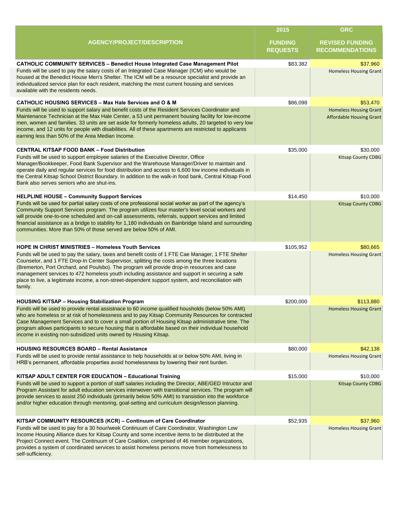|                                                                                                                                                                                                                                                                                                                                                                                                                                                                                                                                                                                   | 2015                              | <b>GRC</b>                                                       |
|-----------------------------------------------------------------------------------------------------------------------------------------------------------------------------------------------------------------------------------------------------------------------------------------------------------------------------------------------------------------------------------------------------------------------------------------------------------------------------------------------------------------------------------------------------------------------------------|-----------------------------------|------------------------------------------------------------------|
| <b>AGENCY/PROJECT/DESCRIPTION</b>                                                                                                                                                                                                                                                                                                                                                                                                                                                                                                                                                 | <b>FUNDING</b><br><b>REQUESTS</b> | <b>REVISED FUNDING</b><br><b>RECOMMENDATIONS</b>                 |
| <b>CATHOLIC COMMUNITY SERVICES - Benedict House Integrated Case Management Pilot</b>                                                                                                                                                                                                                                                                                                                                                                                                                                                                                              | \$83,382                          | \$37,960                                                         |
| Funds will be used to pay the salary costs of an Integrated Case Manager (ICM) who would be<br>housed at the Benedict House Men's Shelter. The ICM will be a resource specialist and provide an<br>individualized service plan for each resident, matching the most current housing and services<br>available with the residents needs.                                                                                                                                                                                                                                           |                                   | <b>Homeless Housing Grant</b>                                    |
| CATHOLIC HOUSING SERVICES - Max Hale Services and O & M                                                                                                                                                                                                                                                                                                                                                                                                                                                                                                                           | \$86,098                          | \$53,470                                                         |
| Funds will be used to support salary and benefit costs of the Resident Services Coordinator and<br>Maintenance Technician at the Max Hale Center, a 53 unit permanent housing facility for low-income<br>men, women and families. 33 units are set aside for formerly homeless adults, 20 targeted to very low<br>income, and 12 units for people with disabilities. All of these apartments are restricted to applicants<br>earning less than 50% of the Area Median Income.                                                                                                     |                                   | <b>Homeless Housing Grant</b><br><b>Affordable Housing Grant</b> |
| <b>CENTRAL KITSAP FOOD BANK - Food Distribution</b>                                                                                                                                                                                                                                                                                                                                                                                                                                                                                                                               | \$35,000                          | \$30,000                                                         |
| Funds will be used to support employee salaries of the Executive Director, Office<br>Manager/Bookkeeper, Food Bank Supervisor and the Warehouse Manager/Driver to maintain and<br>operate daily and regular services for food distribution and access to 6,600 low income individuals in<br>the Central Kitsap School District Boundary. In addition to the walk-in food bank, Central Kitsap Food<br>Bank also serves seniors who are shut-ins.                                                                                                                                  |                                   | <b>Kitsap County CDBG</b>                                        |
| <b>HELPLINE HOUSE - Community Support Services</b>                                                                                                                                                                                                                                                                                                                                                                                                                                                                                                                                | \$14,450                          | \$10,000                                                         |
| Funds will be used for partial salary costs of one professional social worker as part of the agency's<br>Community Support Services program. The program utilizes four master's level social workers and<br>will provide one-to-one scheduled and on-call assessments, referrals, support services and limited<br>financial assistance as a bridge to stability for 1,180 individuals on Bainbridge Island and surrounding<br>communities. More than 50% of those served are below 50% of AMI.                                                                                    |                                   | <b>Kitsap County CDBG</b>                                        |
| <b>HOPE IN CHRIST MINISTRIES - Homeless Youth Services</b><br>Funds will be used to pay the salary, taxes and benefit costs of 1 FTE Cae Manager, 1 FTE Shelter<br>Counselor, and 1 FTE Drop-In Center Supervisor, splitting the costs among the three locations<br>(Bremerton, Port Orchard, and Poulsbo). The program will provide drop-in resources and case<br>management services to 472 homeless youth including assistance and support in securing a safe<br>place to live, a legitimate income, a non-street-dependent support system, and reconciliation with<br>family. | \$105,952                         | \$80,665<br><b>Homeless Housing Grant</b>                        |
| <b>HOUSING KITSAP - Housing Stabilization Program</b>                                                                                                                                                                                                                                                                                                                                                                                                                                                                                                                             | \$200,000                         | \$113,880                                                        |
| Funds will be used to provide rental assistnace to 60 income qualified housholds (below 50% AMI)<br>who are homeless or at risk of homelessness and to pay Kitsap Community Resources for contracted<br>Case Management Services and to cover a small portion of Housing Kitsap administrative time. The<br>program allows participants to secure housing that is affordable based on their individual household<br>income in existing non-subsidized units owned by Housing Kitsap.                                                                                              |                                   | <b>Homeless Housing Grant</b>                                    |
| <b>HOUSING RESOURCES BOARD - Rental Assistance</b>                                                                                                                                                                                                                                                                                                                                                                                                                                                                                                                                | \$80,000                          | \$42,138                                                         |
| Funds will be used to provide rental assistance to help households at or below 50% AMI, living in<br>HRB's permanent, affordable properties avoid homelessness by lowering their rent burden.                                                                                                                                                                                                                                                                                                                                                                                     |                                   | <b>Homeless Housing Grant</b>                                    |
| KITSAP ADULT CENTER FOR EDUCATION - Educational Training                                                                                                                                                                                                                                                                                                                                                                                                                                                                                                                          | \$15,000                          | \$10,000                                                         |
| Funds will be used to support a portion of staff salaries including the Director, ABE/GED Intructor and<br>Program Assistant for adult education services interwoven with transitional services. The program will<br>provide services to assist 250 individuals (primarily below 50% AMI) to transistion into the workforce<br>and/or higher education through mentoring, goal-setting and curriculum design/lesson planning.                                                                                                                                                     |                                   | <b>Kitsap County CDBG</b>                                        |
| KITSAP COMMUNITY RESOURCES (KCR) - Continuum of Care Coordinator                                                                                                                                                                                                                                                                                                                                                                                                                                                                                                                  | \$52,935                          | \$37,960                                                         |
| Funds will be used to pay for a 30 hour/week Continuum of Care Coordinator, Washington Low<br>Income Housing Alliance dues for Kitsap County and some incentive items to be distributed at the<br>Project Connect event. The Continuum of Care Coalition, comprised of 46 member organizations,<br>provides a system of coordinated services to assist homeless persons move from homelessness to<br>self-sufficiency.                                                                                                                                                            |                                   | <b>Homeless Housing Grant</b>                                    |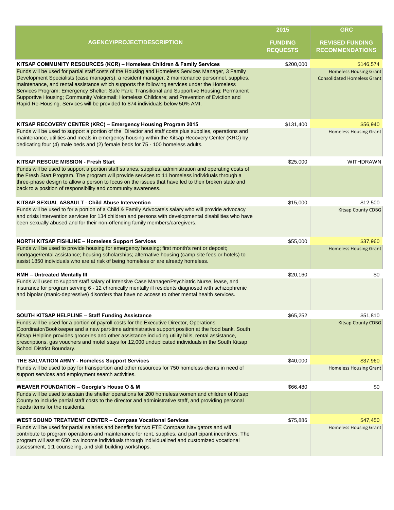|                                                                                                                                                                                                                                                                                                                                                                                                                                                                                                                                                                                       | 2015                              | <b>GRC</b>                                                          |
|---------------------------------------------------------------------------------------------------------------------------------------------------------------------------------------------------------------------------------------------------------------------------------------------------------------------------------------------------------------------------------------------------------------------------------------------------------------------------------------------------------------------------------------------------------------------------------------|-----------------------------------|---------------------------------------------------------------------|
| <b>AGENCY/PROJECT/DESCRIPTION</b>                                                                                                                                                                                                                                                                                                                                                                                                                                                                                                                                                     | <b>FUNDING</b><br><b>REQUESTS</b> | <b>REVISED FUNDING</b><br><b>RECOMMENDATIONS</b>                    |
| KITSAP COMMUNITY RESOURCES (KCR) - Homeless Children & Family Services                                                                                                                                                                                                                                                                                                                                                                                                                                                                                                                | \$200,000                         | \$146,574                                                           |
| Funds will be used for partial staff costs of the Housing and Homeless Services Manager, 3 Family<br>Development Specialists (case managers), a resident manager, 2 maintenance personnel, supplies,<br>maintenance, and rental assistance which supports the following services under the Homeless<br>Services Program: Emergency Shelter; Safe Park; Transitional and Supportive Housing; Permanent<br>Supportive Housing; Community Voicemail; Homeless Childcare; and Prevention of Eviction and<br>Rapid Re-Housing. Services will be provided to 874 individuals below 50% AMI. |                                   | <b>Homeless Housing Grant</b><br><b>Consolidated Homeless Grant</b> |
| KITSAP RECOVERY CENTER (KRC) - Emergency Housing Program 2015                                                                                                                                                                                                                                                                                                                                                                                                                                                                                                                         | \$131,400                         | \$56,940                                                            |
| Funds will be used to support a portion of the Director and staff costs plus supplies, operations and<br>maintenance, utilities and meals in emergency housing within the Kitsap Recovery Center (KRC) by<br>dedicating four (4) male beds and (2) female beds for 75 - 100 homeless adults.                                                                                                                                                                                                                                                                                          |                                   | <b>Homeless Housing Grant</b>                                       |
| <b>KITSAP RESCUE MISSION - Fresh Start</b>                                                                                                                                                                                                                                                                                                                                                                                                                                                                                                                                            | \$25,000                          | <b>WITHDRAWN</b>                                                    |
| Funds will be used to support a portion staff salaries, supplies, administration and operating costs of<br>the Fresh Start Program. The program will provide services to 11 homeless individuals through a<br>three-phase design to allow a person to focus on the issues that have led to their broken state and<br>back to a position of responsibility and community awareness.                                                                                                                                                                                                    |                                   |                                                                     |
| KITSAP SEXUAL ASSAULT - Child Abuse Intervention                                                                                                                                                                                                                                                                                                                                                                                                                                                                                                                                      | \$15,000                          | \$12,500                                                            |
| Funds will be used to for a portion of a Child & Family Advocate's salary who will provide advocacy<br>and crisis intervention services for 134 children and persons with developmental disabilities who have<br>been sexually abused and for their non-offending family members/caregivers.                                                                                                                                                                                                                                                                                          |                                   | <b>Kitsap County CDBG</b>                                           |
| <b>NORTH KITSAP FISHLINE - Homeless Support Services</b>                                                                                                                                                                                                                                                                                                                                                                                                                                                                                                                              | \$55,000                          | \$37,960                                                            |
| Funds will be used to provide housing for emergency housing; first month's rent or deposit;<br>mortgage/rental assistance; housing scholarships; alternative housing (camp site fees or hotels) to<br>assist 1850 individuals who are at risk of being homeless or are already homeless.                                                                                                                                                                                                                                                                                              |                                   | <b>Homeless Housing Grant</b>                                       |
| <b>RMH - Untreated Mentally III</b>                                                                                                                                                                                                                                                                                                                                                                                                                                                                                                                                                   | \$20,160                          | \$0                                                                 |
| Funds will used to support staff salary of Intensive Case Manager/Psychiatric Nurse, lease, and<br>insurance for program serving 6 - 12 chronically mentally ill residents diagnosed with schizophrenic<br>and bipolar (manic-depressive) disorders that have no access to other mental health services.                                                                                                                                                                                                                                                                              |                                   |                                                                     |
| SOUTH KITSAP HELPLINE - Staff Funding Assistance                                                                                                                                                                                                                                                                                                                                                                                                                                                                                                                                      | \$65,252                          | \$51,810                                                            |
| Funds will be used for a portion of payroll costs for the Executive Director, Operations<br>Coordinator/Bookkeeper and a new part-time administrative support position at the food bank. South<br>Kitsap Helpline provides groceries and other assistance including utility bills, rental assistance,<br>prescriptions, gas vouchers and motel stays for 12,000 unduplicated individuals in the South Kitsap<br>School District Boundary.                                                                                                                                             |                                   | <b>Kitsap County CDBG</b>                                           |
| THE SALVATION ARMY - Homeless Support Services                                                                                                                                                                                                                                                                                                                                                                                                                                                                                                                                        | \$40,000                          | \$37,960                                                            |
| Funds will be used to pay for transportion and other resources for 750 homeless clients in need of<br>support services and employment search activities.                                                                                                                                                                                                                                                                                                                                                                                                                              |                                   | <b>Homeless Housing Grant</b>                                       |
| <b>WEAVER FOUNDATION - Georgia's House O &amp; M</b>                                                                                                                                                                                                                                                                                                                                                                                                                                                                                                                                  | \$66,480                          | \$0                                                                 |
| Funds will be used to sustain the shelter operations for 200 homeless women and children of Kitsap<br>County to include partial staff costs to the director and administrative staff, and providing personal<br>needs items for the residents.                                                                                                                                                                                                                                                                                                                                        |                                   |                                                                     |
| <b>WEST SOUND TREATMENT CENTER - Compass Vocational Services</b>                                                                                                                                                                                                                                                                                                                                                                                                                                                                                                                      | \$75,886                          | \$47,450                                                            |
| Funds will be used for partial salaries and benefits for two FTE Compass Navigators and will<br>contribute to program operations and maintenance for rent, supplies, and participant incentives. The<br>program will assist 650 low income individuals through individualized and customized vocational<br>assessment, 1:1 counseling, and skill building workshops.                                                                                                                                                                                                                  |                                   | <b>Homeless Housing Grant</b>                                       |